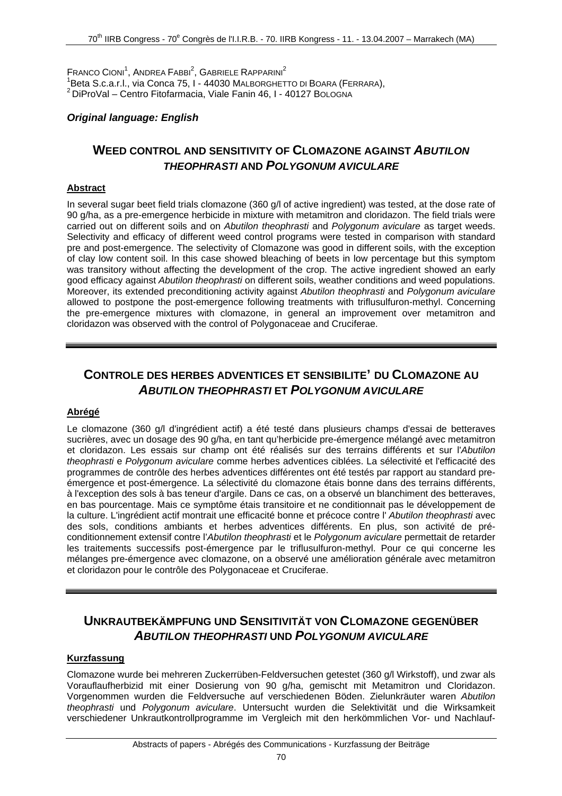$F$ RANCO CIONI<sup>1</sup>, ANDREA  $F$ ABBI<sup>2</sup>, GABRIELE RAPPARINI<sup>2</sup> <sup>1</sup>Beta S.c.a.r.l., via Conca 75, I - 44030 MALBORGHETTO DI BOARA (FERRARA),  ${}^{2}$  DiProVal – Centro Fitofarmacia, Viale Fanin 46, I - 40127 BOLOGNA

### *Original language: English*

## **WEED CONTROL AND SENSITIVITY OF CLOMAZONE AGAINST** *ABUTILON THEOPHRASTI* **AND** *POLYGONUM AVICULARE*

### **Abstract**

In several sugar beet field trials clomazone (360 g/l of active ingredient) was tested, at the dose rate of 90 g/ha, as a pre-emergence herbicide in mixture with metamitron and cloridazon. The field trials were carried out on different soils and on *Abutilon theophrasti* and *Polygonum aviculare* as target weeds. Selectivity and efficacy of different weed control programs were tested in comparison with standard pre and post-emergence. The selectivity of Clomazone was good in different soils, with the exception of clay low content soil. In this case showed bleaching of beets in low percentage but this symptom was transitory without affecting the development of the crop. The active ingredient showed an early good efficacy against *Abutilon theophrasti* on different soils, weather conditions and weed populations. Moreover, its extended preconditioning activity against *Abutilon theophrasti* and *Polygonum aviculare* allowed to postpone the post-emergence following treatments with triflusulfuron-methyl. Concerning the pre-emergence mixtures with clomazone, in general an improvement over metamitron and cloridazon was observed with the control of Polygonaceae and Cruciferae.

# **CONTROLE DES HERBES ADVENTICES ET SENSIBILITE' DU CLOMAZONE AU**  *ABUTILON THEOPHRASTI* **ET** *POLYGONUM AVICULARE*

#### **Abrégé**

Le clomazone (360 g/l d'ingrédient actif) a été testé dans plusieurs champs d'essai de betteraves sucrières, avec un dosage des 90 g/ha, en tant qu'herbicide pre-émergence mélangé avec metamitron et cloridazon. Les essais sur champ ont été réalisés sur des terrains différents et sur l'*Abutilon theophrasti* e *Polygonum aviculare* comme herbes adventices ciblées. La sélectivité et l'efficacité des programmes de contrôle des herbes adventices différentes ont été testés par rapport au standard preémergence et post-émergence. La sélectivité du clomazone étais bonne dans des terrains différents, à l'exception des sols à bas teneur d'argile. Dans ce cas, on a observé un blanchiment des betteraves, en bas pourcentage. Mais ce symptôme étais transitoire et ne conditionnait pas le développement de la culture. L'ingrédient actif montrait une efficacité bonne et précoce contre l' *Abutilon theophrasti* avec des sols, conditions ambiants et herbes adventices différents. En plus, son activité de préconditionnement extensif contre l'*Abutilon theophrasti* et le *Polygonum aviculare* permettait de retarder les traitements successifs post-émergence par le triflusulfuron-methyl. Pour ce qui concerne les mélanges pre-émergence avec clomazone, on a observé une amélioration générale avec metamitron et cloridazon pour le contrôle des Polygonaceae et Cruciferae.

# **UNKRAUTBEKÄMPFUNG UND SENSITIVITÄT VON CLOMAZONE GEGENÜBER**  *ABUTILON THEOPHRASTI* **UND** *POLYGONUM AVICULARE*

#### **Kurzfassung**

Clomazone wurde bei mehreren Zuckerrüben-Feldversuchen getestet (360 g/l Wirkstoff), und zwar als Vorauflaufherbizid mit einer Dosierung von 90 g/ha, gemischt mit Metamitron und Cloridazon. Vorgenommen wurden die Feldversuche auf verschiedenen Böden. Zielunkräuter waren *Abutilon theophrasti* und *Polygonum aviculare*. Untersucht wurden die Selektivität und die Wirksamkeit verschiedener Unkrautkontrollprogramme im Vergleich mit den herkömmlichen Vor- und Nachlauf